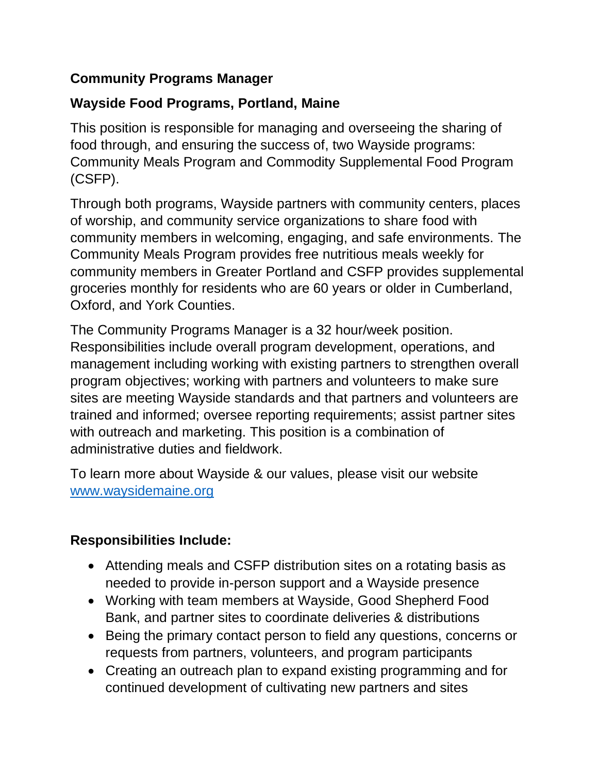### **Community Programs Manager**

### **Wayside Food Programs, Portland, Maine**

This position is responsible for managing and overseeing the sharing of food through, and ensuring the success of, two Wayside programs: Community Meals Program and Commodity Supplemental Food Program (CSFP).

Through both programs, Wayside partners with community centers, places of worship, and community service organizations to share food with community members in welcoming, engaging, and safe environments. The Community Meals Program provides free nutritious meals weekly for community members in Greater Portland and CSFP provides supplemental groceries monthly for residents who are 60 years or older in Cumberland, Oxford, and York Counties.

The Community Programs Manager is a 32 hour/week position. Responsibilities include overall program development, operations, and management including working with existing partners to strengthen overall program objectives; working with partners and volunteers to make sure sites are meeting Wayside standards and that partners and volunteers are trained and informed; oversee reporting requirements; assist partner sites with outreach and marketing. This position is a combination of administrative duties and fieldwork.

To learn more about Wayside & our values, please visit our website [www.waysidemaine.org](http://www.waysidemaine.org/)

#### **Responsibilities Include:**

- Attending meals and CSFP distribution sites on a rotating basis as needed to provide in-person support and a Wayside presence
- Working with team members at Wayside, Good Shepherd Food Bank, and partner sites to coordinate deliveries & distributions
- Being the primary contact person to field any questions, concerns or requests from partners, volunteers, and program participants
- Creating an outreach plan to expand existing programming and for continued development of cultivating new partners and sites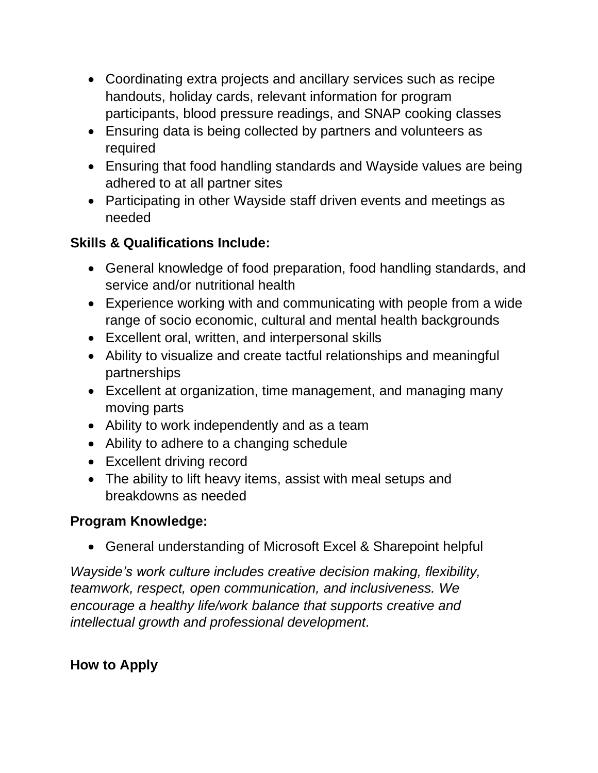- Coordinating extra projects and ancillary services such as recipe handouts, holiday cards, relevant information for program participants, blood pressure readings, and SNAP cooking classes
- Ensuring data is being collected by partners and volunteers as required
- Ensuring that food handling standards and Wayside values are being adhered to at all partner sites
- Participating in other Wayside staff driven events and meetings as needed

# **Skills & Qualifications Include:**

- General knowledge of food preparation, food handling standards, and service and/or nutritional health
- Experience working with and communicating with people from a wide range of socio economic, cultural and mental health backgrounds
- Excellent oral, written, and interpersonal skills
- Ability to visualize and create tactful relationships and meaningful partnerships
- Excellent at organization, time management, and managing many moving parts
- Ability to work independently and as a team
- Ability to adhere to a changing schedule
- Excellent driving record
- The ability to lift heavy items, assist with meal setups and breakdowns as needed

#### **Program Knowledge:**

• General understanding of Microsoft Excel & Sharepoint helpful

*Wayside's work culture includes creative decision making, flexibility, teamwork, respect, open communication, and inclusiveness. We encourage a healthy life/work balance that supports creative and intellectual growth and professional development.* 

# **How to Apply**